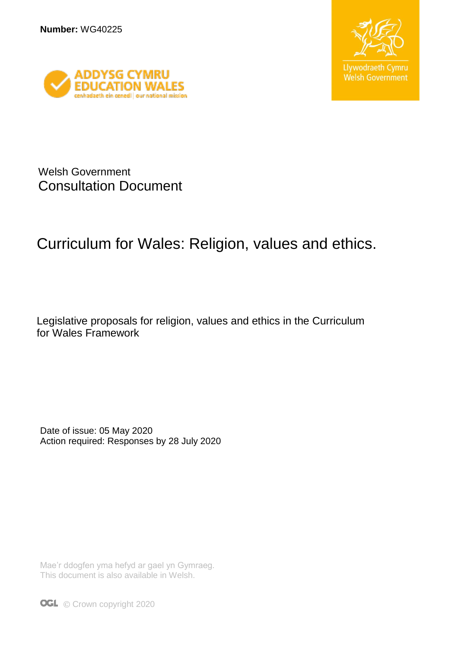



Welsh Government Consultation Document

# Curriculum for Wales: Religion, values and ethics.

Legislative proposals for religion, values and ethics in the Curriculum for Wales Framework

Date of issue: 05 May 2020 Action required: Responses by 28 July 2020

Mae'r ddogfen yma hefyd ar gael yn Gymraeg. This document is also available in Welsh.

**OGL** © Crown copyright 2020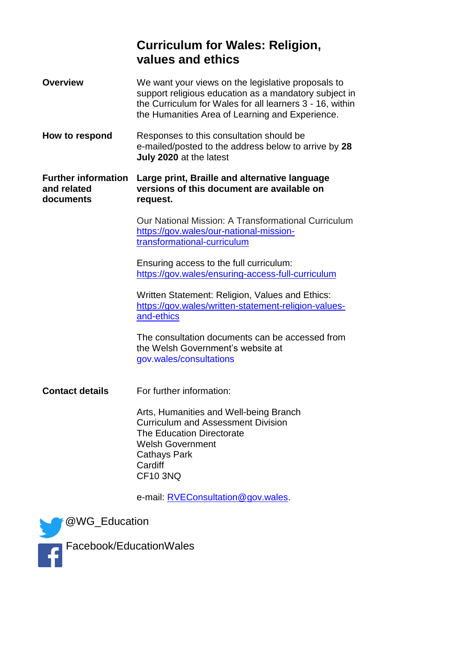### **Curriculum for Wales: Religion, values and ethics**

| <b>Overview</b>                                        | We want your views on the legislative proposals to<br>support religious education as a mandatory subject in<br>the Curriculum for Wales for all learners 3 - 16, within<br>the Humanities Area of Learning and Experience. |
|--------------------------------------------------------|----------------------------------------------------------------------------------------------------------------------------------------------------------------------------------------------------------------------------|
| How to respond                                         | Responses to this consultation should be<br>e-mailed/posted to the address below to arrive by 28<br>July 2020 at the latest                                                                                                |
| <b>Further information</b><br>and related<br>documents | Large print, Braille and alternative language<br>versions of this document are available on<br>request.                                                                                                                    |
|                                                        | Our National Mission: A Transformational Curriculum<br>https://gov.wales/our-national-mission-<br>transformational-curriculum                                                                                              |
|                                                        | Ensuring access to the full curriculum:<br>https://gov.wales/ensuring-access-full-curriculum                                                                                                                               |
|                                                        | Written Statement: Religion, Values and Ethics:<br>https://gov.wales/written-statement-religion-values-<br>and-ethics                                                                                                      |
|                                                        | The consultation documents can be accessed from<br>the Welsh Government's website at<br>gov.wales/consultations                                                                                                            |
| <b>Contact details</b>                                 | For further information:                                                                                                                                                                                                   |
|                                                        | Arts, Humanities and Well-being Branch<br>Curriculum and Assessment Division<br>The Education Directorate<br><b>Welsh Government</b><br><b>Cathays Park</b><br>Cardiff<br><b>CF10 3NQ</b>                                  |
|                                                        |                                                                                                                                                                                                                            |

e-mail: [RVEConsultation@gov.wales.](mailto:RVEConsultation@gov.wales)

*MC*<sup>*@WG\_Education*</sup>



Facebook/EducationWales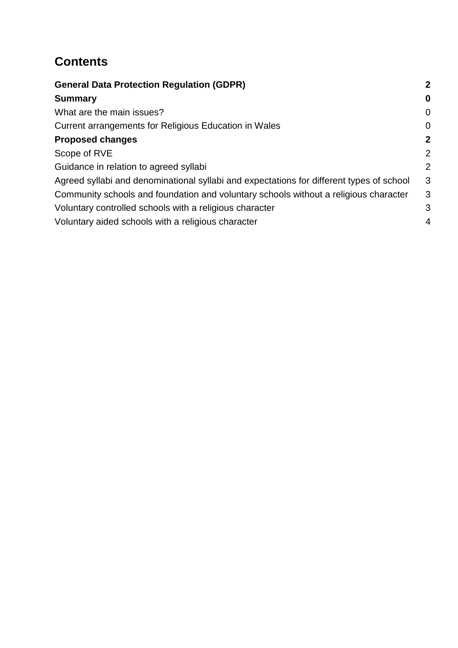## **Contents**

| <b>General Data Protection Regulation (GDPR)</b>                                         | $\mathbf{2}$   |
|------------------------------------------------------------------------------------------|----------------|
| <b>Summary</b>                                                                           | $\bf{0}$       |
| What are the main issues?                                                                | $\Omega$       |
| Current arrangements for Religious Education in Wales                                    | $\overline{0}$ |
| <b>Proposed changes</b>                                                                  | $\mathbf{2}$   |
| Scope of RVE                                                                             | $\overline{2}$ |
| Guidance in relation to agreed syllabi                                                   | 2              |
| Agreed syllabi and denominational syllabi and expectations for different types of school | 3              |
| Community schools and foundation and voluntary schools without a religious character     | 3              |
| Voluntary controlled schools with a religious character                                  | 3              |
| Voluntary aided schools with a religious character                                       | 4              |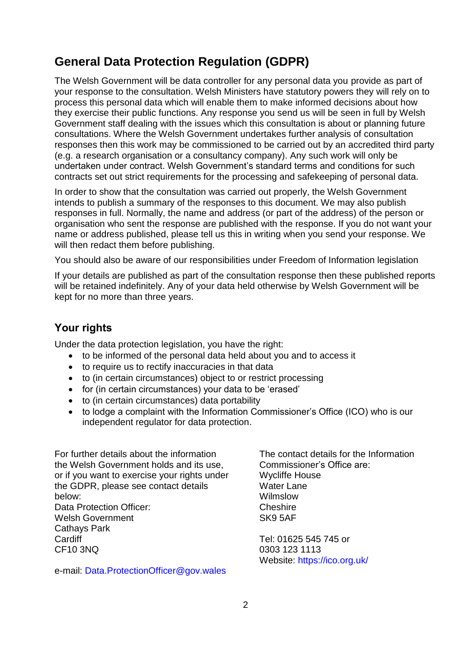## <span id="page-3-0"></span>**General Data Protection Regulation (GDPR)**

The Welsh Government will be data controller for any personal data you provide as part of your response to the consultation. Welsh Ministers have statutory powers they will rely on to process this personal data which will enable them to make informed decisions about how they exercise their public functions. Any response you send us will be seen in full by Welsh Government staff dealing with the issues which this consultation is about or planning future consultations. Where the Welsh Government undertakes further analysis of consultation responses then this work may be commissioned to be carried out by an accredited third party (e.g. a research organisation or a consultancy company). Any such work will only be undertaken under contract. Welsh Government's standard terms and conditions for such contracts set out strict requirements for the processing and safekeeping of personal data.

In order to show that the consultation was carried out properly, the Welsh Government intends to publish a summary of the responses to this document. We may also publish responses in full. Normally, the name and address (or part of the address) of the person or organisation who sent the response are published with the response. If you do not want your name or address published, please tell us this in writing when you send your response. We will then redact them before publishing.

You should also be aware of our responsibilities under Freedom of Information legislation

If your details are published as part of the consultation response then these published reports will be retained indefinitely. Any of your data held otherwise by Welsh Government will be kept for no more than three years.

### **Your rights**

Under the data protection legislation, you have the right:

- to be informed of the personal data held about you and to access it
- to require us to rectify inaccuracies in that data
- to (in certain circumstances) object to or restrict processing
- for (in certain circumstances) your data to be 'erased'
- to (in certain circumstances) data portability
- to lodge a complaint with the Information Commissioner's Office (ICO) who is our independent regulator for data protection.

For further details about the information the Welsh Government holds and its use, or if you want to exercise your rights under the GDPR, please see contact details below: Data Protection Officer: Welsh Government Cathays Park **Cardiff** CF10 3NQ

e-mail: [Data.ProtectionOfficer@gov.wales](mailto:Data.ProtectionOfficer@gov.wales)

The contact details for the Information Commissioner's Office are: Wycliffe House Water Lane Wilmslow **Cheshire** SK9 5AF

Tel: 01625 545 745 or 0303 123 1113 Website:<https://ico.org.uk/>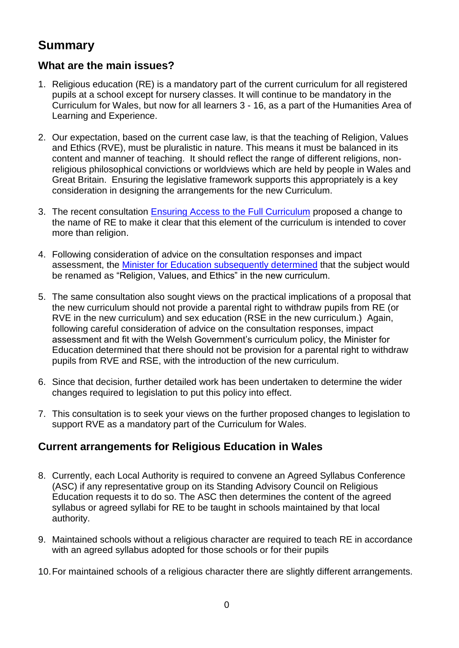### <span id="page-4-0"></span>**Summary**

#### <span id="page-4-1"></span>**What are the main issues?**

- 1. Religious education (RE) is a mandatory part of the current curriculum for all registered pupils at a school except for nursery classes. It will continue to be mandatory in the Curriculum for Wales, but now for all learners 3 - 16, as a part of the Humanities Area of Learning and Experience.
- 2. Our expectation, based on the current case law, is that the teaching of Religion, Values and Ethics (RVE), must be pluralistic in nature. This means it must be balanced in its content and manner of teaching. It should reflect the range of different religions, nonreligious philosophical convictions or worldviews which are held by people in Wales and Great Britain. Ensuring the legislative framework supports this appropriately is a key consideration in designing the arrangements for the new Curriculum.
- 3. The recent consultation [Ensuring Access to the Full Curriculum](https://gov.wales/ensuring-access-full-curriculum) proposed a change to the name of RE to make it clear that this element of the curriculum is intended to cover more than religion.
- 4. Following consideration of advice on the consultation responses and impact assessment, the [Minister for Education subsequently de](https://gov.wales/written-statement-religion-values-and-ethics)termined that the subject would be renamed as "Religion, Values, and Ethics" in the new curriculum.
- 5. The same consultation also sought views on the practical implications of a proposal that the new curriculum should not provide a parental right to withdraw pupils from RE (or RVE in the new curriculum) and sex education (RSE in the new curriculum.) Again, following careful consideration of advice on the consultation responses, impact assessment and fit with the Welsh Government's curriculum policy, the Minister for Education determined that there should not be provision for a parental right to withdraw pupils from RVE and RSE, with the introduction of the new curriculum.
- 6. Since that decision, further detailed work has been undertaken to determine the wider changes required to legislation to put this policy into effect.
- 7. This consultation is to seek your views on the further proposed changes to legislation to support RVE as a mandatory part of the Curriculum for Wales.

### <span id="page-4-2"></span>**Current arrangements for Religious Education in Wales**

- 8. Currently, each Local Authority is required to convene an Agreed Syllabus Conference (ASC) if any representative group on its Standing Advisory Council on Religious Education requests it to do so. The ASC then determines the content of the agreed syllabus or agreed syllabi for RE to be taught in schools maintained by that local authority.
- 9. Maintained schools without a religious character are required to teach RE in accordance with an agreed syllabus adopted for those schools or for their pupils
- 10.For maintained schools of a religious character there are slightly different arrangements.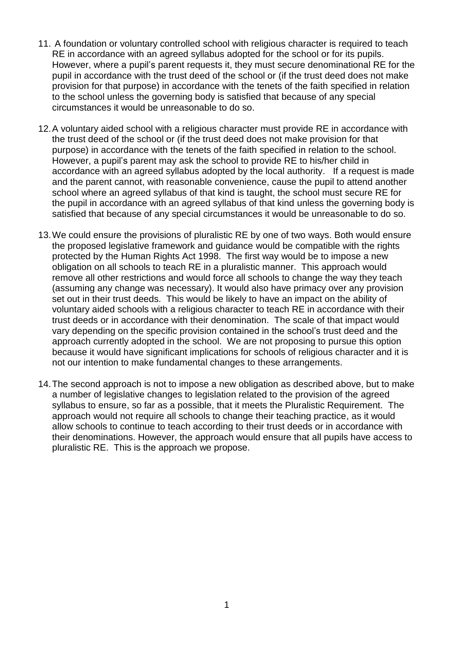- 11. A foundation or voluntary controlled school with religious character is required to teach RE in accordance with an agreed syllabus adopted for the school or for its pupils. However, where a pupil's parent requests it, they must secure denominational RE for the pupil in accordance with the trust deed of the school or (if the trust deed does not make provision for that purpose) in accordance with the tenets of the faith specified in relation to the school unless the governing body is satisfied that because of any special circumstances it would be unreasonable to do so.
- 12.A voluntary aided school with a religious character must provide RE in accordance with the trust deed of the school or (if the trust deed does not make provision for that purpose) in accordance with the tenets of the faith specified in relation to the school. However, a pupil's parent may ask the school to provide RE to his/her child in accordance with an agreed syllabus adopted by the local authority. If a request is made and the parent cannot, with reasonable convenience, cause the pupil to attend another school where an agreed syllabus of that kind is taught, the school must secure RE for the pupil in accordance with an agreed syllabus of that kind unless the governing body is satisfied that because of any special circumstances it would be unreasonable to do so.
- 13.We could ensure the provisions of pluralistic RE by one of two ways. Both would ensure the proposed legislative framework and guidance would be compatible with the rights protected by the Human Rights Act 1998. The first way would be to impose a new obligation on all schools to teach RE in a pluralistic manner. This approach would remove all other restrictions and would force all schools to change the way they teach (assuming any change was necessary). It would also have primacy over any provision set out in their trust deeds. This would be likely to have an impact on the ability of voluntary aided schools with a religious character to teach RE in accordance with their trust deeds or in accordance with their denomination. The scale of that impact would vary depending on the specific provision contained in the school's trust deed and the approach currently adopted in the school. We are not proposing to pursue this option because it would have significant implications for schools of religious character and it is not our intention to make fundamental changes to these arrangements.
- 14.The second approach is not to impose a new obligation as described above, but to make a number of legislative changes to legislation related to the provision of the agreed syllabus to ensure, so far as a possible, that it meets the Pluralistic Requirement. The approach would not require all schools to change their teaching practice, as it would allow schools to continue to teach according to their trust deeds or in accordance with their denominations. However, the approach would ensure that all pupils have access to pluralistic RE. This is the approach we propose.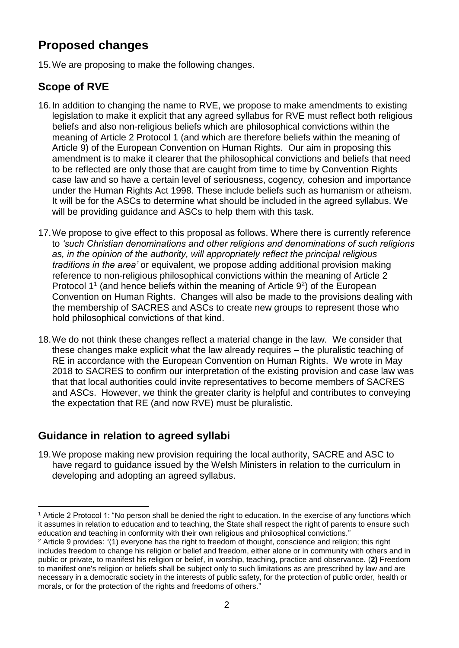## <span id="page-6-0"></span>**Proposed changes**

15.We are proposing to make the following changes.

### <span id="page-6-1"></span>**Scope of RVE**

- 16.In addition to changing the name to RVE, we propose to make amendments to existing legislation to make it explicit that any agreed syllabus for RVE must reflect both religious beliefs and also non-religious beliefs which are philosophical convictions within the meaning of Article 2 Protocol 1 (and which are therefore beliefs within the meaning of Article 9) of the European Convention on Human Rights. Our aim in proposing this amendment is to make it clearer that the philosophical convictions and beliefs that need to be reflected are only those that are caught from time to time by Convention Rights case law and so have a certain level of seriousness, cogency, cohesion and importance under the Human Rights Act 1998. These include beliefs such as humanism or atheism. It will be for the ASCs to determine what should be included in the agreed syllabus. We will be providing guidance and ASCs to help them with this task.
- 17.We propose to give effect to this proposal as follows. Where there is currently reference to *'such Christian denominations and other religions and denominations of such religions as, in the opinion of the authority, will appropriately reflect the principal religious traditions in the area'* or equivalent, we propose adding additional provision making reference to non-religious philosophical convictions within the meaning of Article 2 Protocol 1<sup>1</sup> (and hence beliefs within the meaning of Article  $9<sup>2</sup>$ ) of the European Convention on Human Rights. Changes will also be made to the provisions dealing with the membership of SACRES and ASCs to create new groups to represent those who hold philosophical convictions of that kind.
- 18.We do not think these changes reflect a material change in the law. We consider that these changes make explicit what the law already requires – the pluralistic teaching of RE in accordance with the European Convention on Human Rights. We wrote in May 2018 to SACRES to confirm our interpretation of the existing provision and case law was that that local authorities could invite representatives to become members of SACRES and ASCs. However, we think the greater clarity is helpful and contributes to conveying the expectation that RE (and now RVE) must be pluralistic.

### <span id="page-6-2"></span>**Guidance in relation to agreed syllabi**

1

19.We propose making new provision requiring the local authority, SACRE and ASC to have regard to guidance issued by the Welsh Ministers in relation to the curriculum in developing and adopting an agreed syllabus.

<sup>1</sup> Article 2 Protocol 1: "No person shall be denied the right to education. In the exercise of any functions which it assumes in relation to education and to teaching, the State shall respect the right of parents to ensure such education and teaching in conformity with their own religious and philosophical convictions."

<sup>2</sup> Article 9 provides: "(1) everyone has the right to freedom of thought, conscience and religion; this right includes freedom to change his religion or belief and freedom, either alone or in community with others and in public or private, to manifest his religion or belief, in worship, teaching, practice and observance. (**2)** Freedom to manifest one's religion or beliefs shall be subject only to such limitations as are prescribed by law and are necessary in a democratic society in the interests of public safety, for the protection of public order, health or morals, or for the protection of the rights and freedoms of others."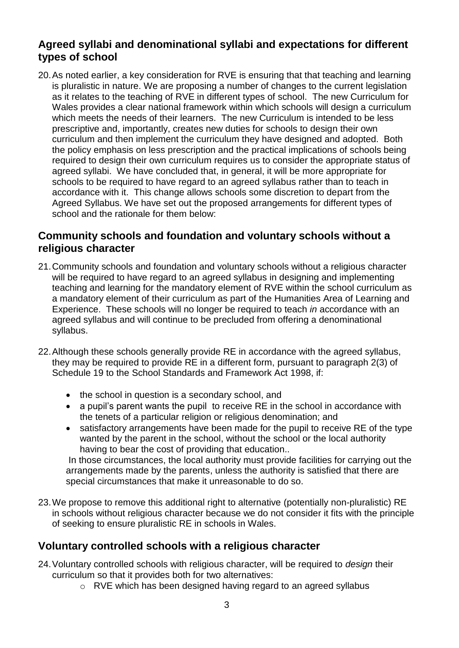#### <span id="page-7-0"></span>**Agreed syllabi and denominational syllabi and expectations for different types of school**

20.As noted earlier, a key consideration for RVE is ensuring that that teaching and learning is pluralistic in nature. We are proposing a number of changes to the current legislation as it relates to the teaching of RVE in different types of school. The new Curriculum for Wales provides a clear national framework within which schools will design a curriculum which meets the needs of their learners. The new Curriculum is intended to be less prescriptive and, importantly, creates new duties for schools to design their own curriculum and then implement the curriculum they have designed and adopted. Both the policy emphasis on less prescription and the practical implications of schools being required to design their own curriculum requires us to consider the appropriate status of agreed syllabi. We have concluded that, in general, it will be more appropriate for schools to be required to have regard to an agreed syllabus rather than to teach in accordance with it. This change allows schools some discretion to depart from the Agreed Syllabus. We have set out the proposed arrangements for different types of school and the rationale for them below:

#### <span id="page-7-1"></span>**Community schools and foundation and voluntary schools without a religious character**

- 21.Community schools and foundation and voluntary schools without a religious character will be required to have regard to an agreed syllabus in designing and implementing teaching and learning for the mandatory element of RVE within the school curriculum as a mandatory element of their curriculum as part of the Humanities Area of Learning and Experience. These schools will no longer be required to teach *in* accordance with an agreed syllabus and will continue to be precluded from offering a denominational syllabus.
- 22.Although these schools generally provide RE in accordance with the agreed syllabus, they may be required to provide RE in a different form, pursuant to paragraph 2(3) of Schedule 19 to the School Standards and Framework Act 1998, if:
	- the school in question is a secondary school, and
	- a pupil's parent wants the pupil to receive RE in the school in accordance with the tenets of a particular religion or religious denomination; and
	- satisfactory arrangements have been made for the pupil to receive RE of the type wanted by the parent in the school, without the school or the local authority having to bear the cost of providing that education..

In those circumstances, the local authority must provide facilities for carrying out the arrangements made by the parents, unless the authority is satisfied that there are special circumstances that make it unreasonable to do so.

23.We propose to remove this additional right to alternative (potentially non-pluralistic) RE in schools without religious character because we do not consider it fits with the principle of seeking to ensure pluralistic RE in schools in Wales.

### <span id="page-7-2"></span>**Voluntary controlled schools with a religious character**

- 24.Voluntary controlled schools with religious character, will be required to *design* their curriculum so that it provides both for two alternatives:
	- o RVE which has been designed having regard to an agreed syllabus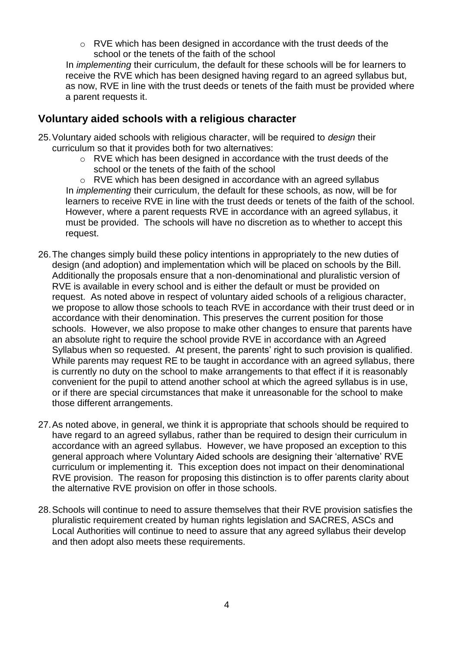o RVE which has been designed in accordance with the trust deeds of the school or the tenets of the faith of the school

In *implementing* their curriculum, the default for these schools will be for learners to receive the RVE which has been designed having regard to an agreed syllabus but, as now, RVE in line with the trust deeds or tenets of the faith must be provided where a parent requests it.

#### <span id="page-8-0"></span>**Voluntary aided schools with a religious character**

- 25.Voluntary aided schools with religious character, will be required to *design* their curriculum so that it provides both for two alternatives:
	- o RVE which has been designed in accordance with the trust deeds of the school or the tenets of the faith of the school

o RVE which has been designed in accordance with an agreed syllabus In *implementing* their curriculum, the default for these schools, as now, will be for learners to receive RVE in line with the trust deeds or tenets of the faith of the school. However, where a parent requests RVE in accordance with an agreed syllabus, it must be provided. The schools will have no discretion as to whether to accept this request.

- 26.The changes simply build these policy intentions in appropriately to the new duties of design (and adoption) and implementation which will be placed on schools by the Bill. Additionally the proposals ensure that a non-denominational and pluralistic version of RVE is available in every school and is either the default or must be provided on request. As noted above in respect of voluntary aided schools of a religious character, we propose to allow those schools to teach RVE in accordance with their trust deed or in accordance with their denomination. This preserves the current position for those schools. However, we also propose to make other changes to ensure that parents have an absolute right to require the school provide RVE in accordance with an Agreed Syllabus when so requested. At present, the parents' right to such provision is qualified. While parents may request RE to be taught in accordance with an agreed syllabus, there is currently no duty on the school to make arrangements to that effect if it is reasonably convenient for the pupil to attend another school at which the agreed syllabus is in use, or if there are special circumstances that make it unreasonable for the school to make those different arrangements.
- 27.As noted above, in general, we think it is appropriate that schools should be required to have regard to an agreed syllabus, rather than be required to design their curriculum in accordance with an agreed syllabus. However, we have proposed an exception to this general approach where Voluntary Aided schools are designing their 'alternative' RVE curriculum or implementing it. This exception does not impact on their denominational RVE provision. The reason for proposing this distinction is to offer parents clarity about the alternative RVE provision on offer in those schools.
- 28.Schools will continue to need to assure themselves that their RVE provision satisfies the pluralistic requirement created by human rights legislation and SACRES, ASCs and Local Authorities will continue to need to assure that any agreed syllabus their develop and then adopt also meets these requirements.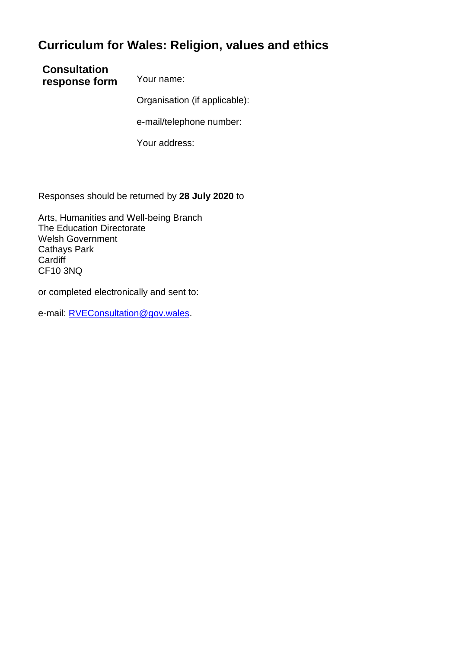### **Curriculum for Wales: Religion, values and ethics**

**Consultation response form** Your name:

Organisation (if applicable):

e-mail/telephone number:

Your address:

Responses should be returned by **28 July 2020** to

Arts, Humanities and Well-being Branch The Education Directorate Welsh Government Cathays Park **Cardiff** CF10 3NQ

or completed electronically and sent to:

e-mail: [RVEConsultation@gov.wales.](mailto:RVEConsultation@gov.wales)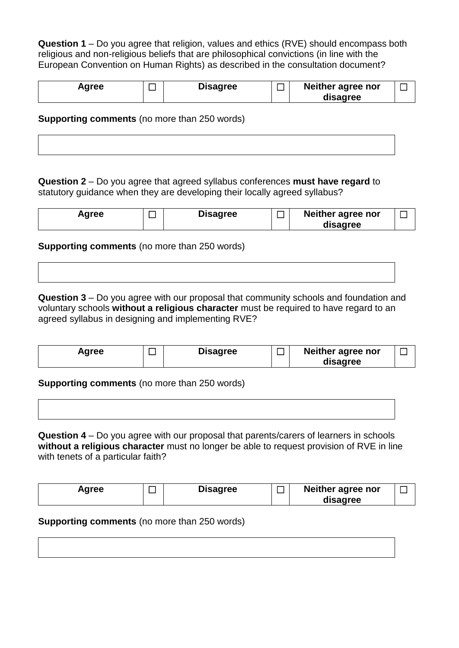**Question 1** – Do you agree that religion, values and ethics (RVE) should encompass both religious and non-religious beliefs that are philosophical convictions (in line with the European Convention on Human Rights) as described in the consultation document?

| Agree | <b>Disagree</b> | Neither agree nor |  |
|-------|-----------------|-------------------|--|
|       |                 | disagree          |  |

**Supporting comments** (no more than 250 words)

**Question 2** – Do you agree that agreed syllabus conferences **must have regard** to statutory guidance when they are developing their locally agreed syllabus?

| Agree |  | <b>Disagree</b> |  | Neither agree nor<br>disagree |  |
|-------|--|-----------------|--|-------------------------------|--|
|-------|--|-----------------|--|-------------------------------|--|

**Supporting comments** (no more than 250 words)

**Question 3** – Do you agree with our proposal that community schools and foundation and voluntary schools **without a religious character** must be required to have regard to an agreed syllabus in designing and implementing RVE?

| Agree | <b>Disagree</b> | Neither agree nor |  |
|-------|-----------------|-------------------|--|
|       |                 | disagree          |  |

**Supporting comments** (no more than 250 words)

**Question 4** – Do you agree with our proposal that parents/carers of learners in schools **without a religious character** must no longer be able to request provision of RVE in line with tenets of a particular faith?

| Agree | <b>Disagree</b> | Neither agree nor |  |
|-------|-----------------|-------------------|--|
|       |                 | disagree          |  |

**Supporting comments** (no more than 250 words)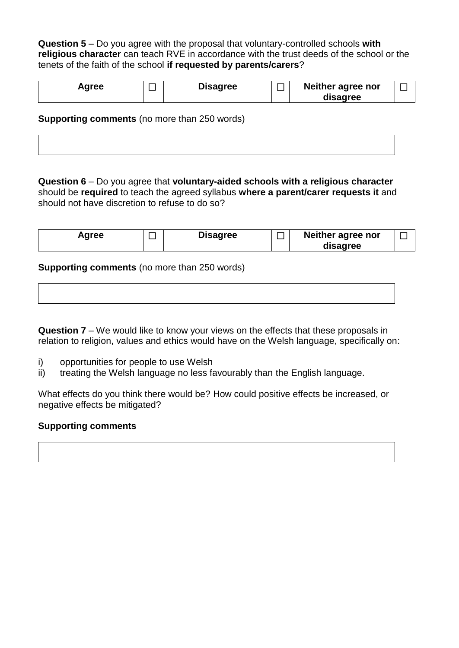**Question 5** – Do you agree with the proposal that voluntary-controlled schools **with religious character** can teach RVE in accordance with the trust deeds of the school or the tenets of the faith of the school **if requested by parents/carers**?

| Agree | <b>Disagree</b> | _ | Neither agree nor |  |
|-------|-----------------|---|-------------------|--|
|       |                 |   | disagree          |  |

#### **Supporting comments** (no more than 250 words)

**Question 6** – Do you agree that **voluntary-aided schools with a religious character** should be **required** to teach the agreed syllabus **where a parent/carer requests it** and should not have discretion to refuse to do so?

| Agree | <b>Disagree</b> | Neither agree nor |  |
|-------|-----------------|-------------------|--|
|       |                 | disagree          |  |

**Supporting comments** (no more than 250 words)

**Question 7** – We would like to know your views on the effects that these proposals in relation to religion, values and ethics would have on the Welsh language, specifically on:

- i) opportunities for people to use Welsh
- ii) treating the Welsh language no less favourably than the English language.

What effects do you think there would be? How could positive effects be increased, or negative effects be mitigated?

#### **Supporting comments**